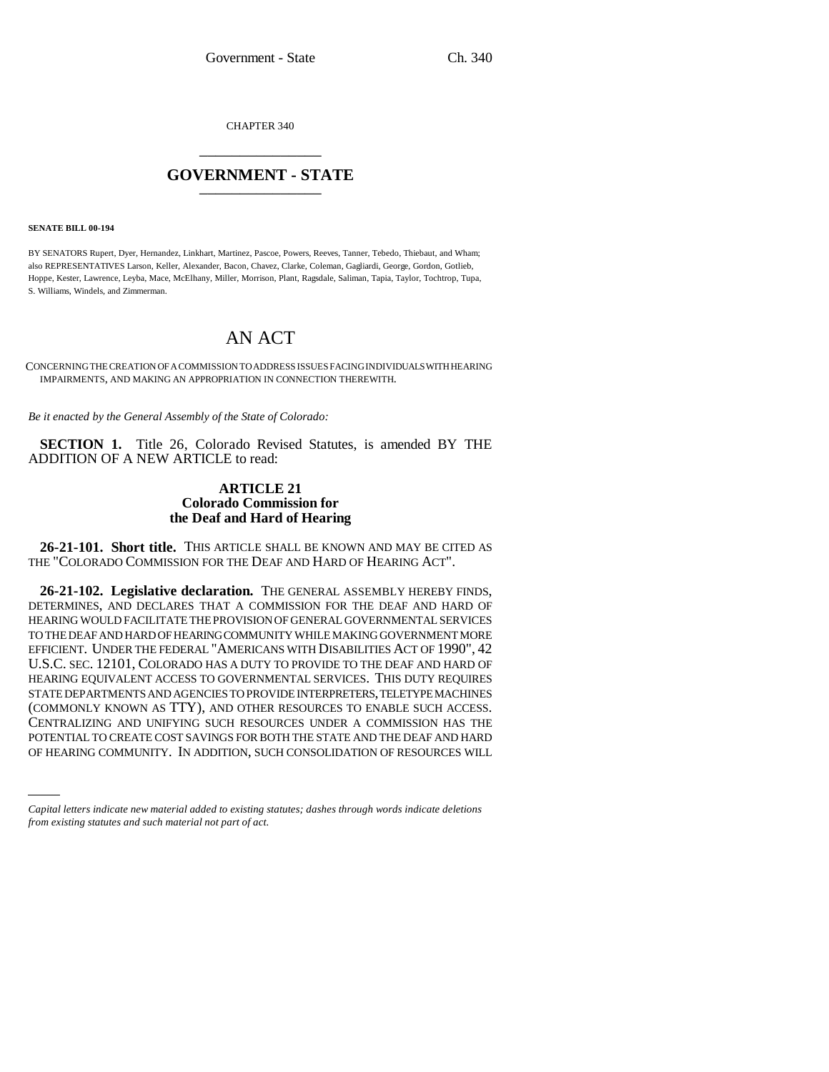CHAPTER 340 \_\_\_\_\_\_\_\_\_\_\_\_\_\_\_

## **GOVERNMENT - STATE** \_\_\_\_\_\_\_\_\_\_\_\_\_\_\_

**SENATE BILL 00-194** 

BY SENATORS Rupert, Dyer, Hernandez, Linkhart, Martinez, Pascoe, Powers, Reeves, Tanner, Tebedo, Thiebaut, and Wham; also REPRESENTATIVES Larson, Keller, Alexander, Bacon, Chavez, Clarke, Coleman, Gagliardi, George, Gordon, Gotlieb, Hoppe, Kester, Lawrence, Leyba, Mace, McElhany, Miller, Morrison, Plant, Ragsdale, Saliman, Tapia, Taylor, Tochtrop, Tupa, S. Williams, Windels, and Zimmerman.

## AN ACT

CONCERNING THE CREATION OF A COMMISSION TO ADDRESS ISSUES FACING INDIVIDUALS WITH HEARING IMPAIRMENTS, AND MAKING AN APPROPRIATION IN CONNECTION THEREWITH.

*Be it enacted by the General Assembly of the State of Colorado:*

**SECTION 1.** Title 26, Colorado Revised Statutes, is amended BY THE ADDITION OF A NEW ARTICLE to read:

## **ARTICLE 21 Colorado Commission for the Deaf and Hard of Hearing**

**26-21-101. Short title.** THIS ARTICLE SHALL BE KNOWN AND MAY BE CITED AS THE "COLORADO COMMISSION FOR THE DEAF AND HARD OF HEARING ACT".

POTENTIAL TO CREATE COST SAVINGS FOR BOTH THE STATE AND THE DEAF AND HARD **26-21-102. Legislative declaration.** THE GENERAL ASSEMBLY HEREBY FINDS, DETERMINES, AND DECLARES THAT A COMMISSION FOR THE DEAF AND HARD OF HEARING WOULD FACILITATE THE PROVISION OF GENERAL GOVERNMENTAL SERVICES TO THE DEAF AND HARD OF HEARING COMMUNITY WHILE MAKING GOVERNMENT MORE EFFICIENT. UNDER THE FEDERAL "AMERICANS WITH DISABILITIES ACT OF 1990", 42 U.S.C. SEC. 12101, COLORADO HAS A DUTY TO PROVIDE TO THE DEAF AND HARD OF HEARING EQUIVALENT ACCESS TO GOVERNMENTAL SERVICES. THIS DUTY REQUIRES STATE DEPARTMENTS AND AGENCIES TO PROVIDE INTERPRETERS, TELETYPE MACHINES (COMMONLY KNOWN AS TTY), AND OTHER RESOURCES TO ENABLE SUCH ACCESS. CENTRALIZING AND UNIFYING SUCH RESOURCES UNDER A COMMISSION HAS THE OF HEARING COMMUNITY. IN ADDITION, SUCH CONSOLIDATION OF RESOURCES WILL

*Capital letters indicate new material added to existing statutes; dashes through words indicate deletions from existing statutes and such material not part of act.*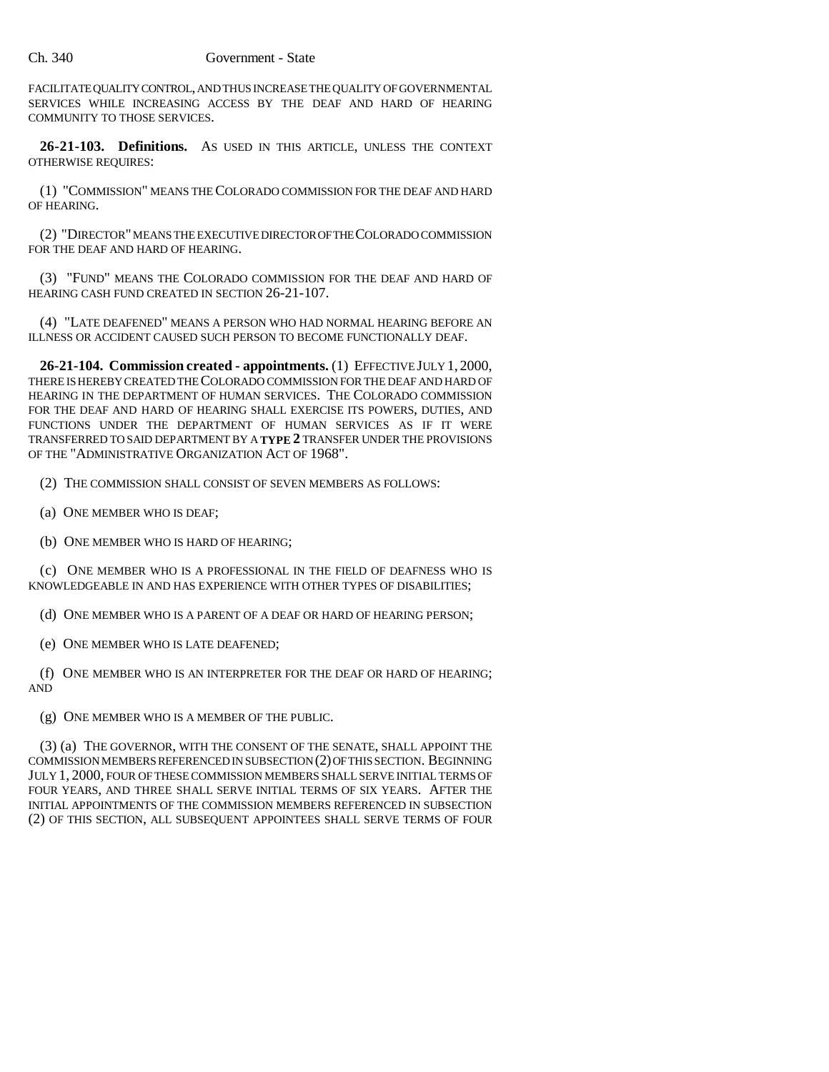FACILITATE QUALITY CONTROL, AND THUS INCREASE THE QUALITY OF GOVERNMENTAL SERVICES WHILE INCREASING ACCESS BY THE DEAF AND HARD OF HEARING COMMUNITY TO THOSE SERVICES.

**26-21-103. Definitions.** AS USED IN THIS ARTICLE, UNLESS THE CONTEXT OTHERWISE REQUIRES:

(1) "COMMISSION" MEANS THE COLORADO COMMISSION FOR THE DEAF AND HARD OF HEARING.

(2) "DIRECTOR" MEANS THE EXECUTIVE DIRECTOR OF THE COLORADO COMMISSION FOR THE DEAF AND HARD OF HEARING.

(3) "FUND" MEANS THE COLORADO COMMISSION FOR THE DEAF AND HARD OF HEARING CASH FUND CREATED IN SECTION 26-21-107.

(4) "LATE DEAFENED" MEANS A PERSON WHO HAD NORMAL HEARING BEFORE AN ILLNESS OR ACCIDENT CAUSED SUCH PERSON TO BECOME FUNCTIONALLY DEAF.

**26-21-104. Commission created - appointments.** (1) EFFECTIVE JULY 1, 2000, THERE IS HEREBY CREATED THE COLORADO COMMISSION FOR THE DEAF AND HARD OF HEARING IN THE DEPARTMENT OF HUMAN SERVICES. THE COLORADO COMMISSION FOR THE DEAF AND HARD OF HEARING SHALL EXERCISE ITS POWERS, DUTIES, AND FUNCTIONS UNDER THE DEPARTMENT OF HUMAN SERVICES AS IF IT WERE TRANSFERRED TO SAID DEPARTMENT BY A **TYPE 2** TRANSFER UNDER THE PROVISIONS OF THE "ADMINISTRATIVE ORGANIZATION ACT OF 1968".

(2) THE COMMISSION SHALL CONSIST OF SEVEN MEMBERS AS FOLLOWS:

- (a) ONE MEMBER WHO IS DEAF;
- (b) ONE MEMBER WHO IS HARD OF HEARING;

(c) ONE MEMBER WHO IS A PROFESSIONAL IN THE FIELD OF DEAFNESS WHO IS KNOWLEDGEABLE IN AND HAS EXPERIENCE WITH OTHER TYPES OF DISABILITIES;

(d) ONE MEMBER WHO IS A PARENT OF A DEAF OR HARD OF HEARING PERSON;

(e) ONE MEMBER WHO IS LATE DEAFENED;

(f) ONE MEMBER WHO IS AN INTERPRETER FOR THE DEAF OR HARD OF HEARING; AND

(g) ONE MEMBER WHO IS A MEMBER OF THE PUBLIC.

(3) (a) THE GOVERNOR, WITH THE CONSENT OF THE SENATE, SHALL APPOINT THE COMMISSION MEMBERS REFERENCED IN SUBSECTION (2) OF THIS SECTION. BEGINNING JULY 1, 2000, FOUR OF THESE COMMISSION MEMBERS SHALL SERVE INITIAL TERMS OF FOUR YEARS, AND THREE SHALL SERVE INITIAL TERMS OF SIX YEARS. AFTER THE INITIAL APPOINTMENTS OF THE COMMISSION MEMBERS REFERENCED IN SUBSECTION (2) OF THIS SECTION, ALL SUBSEQUENT APPOINTEES SHALL SERVE TERMS OF FOUR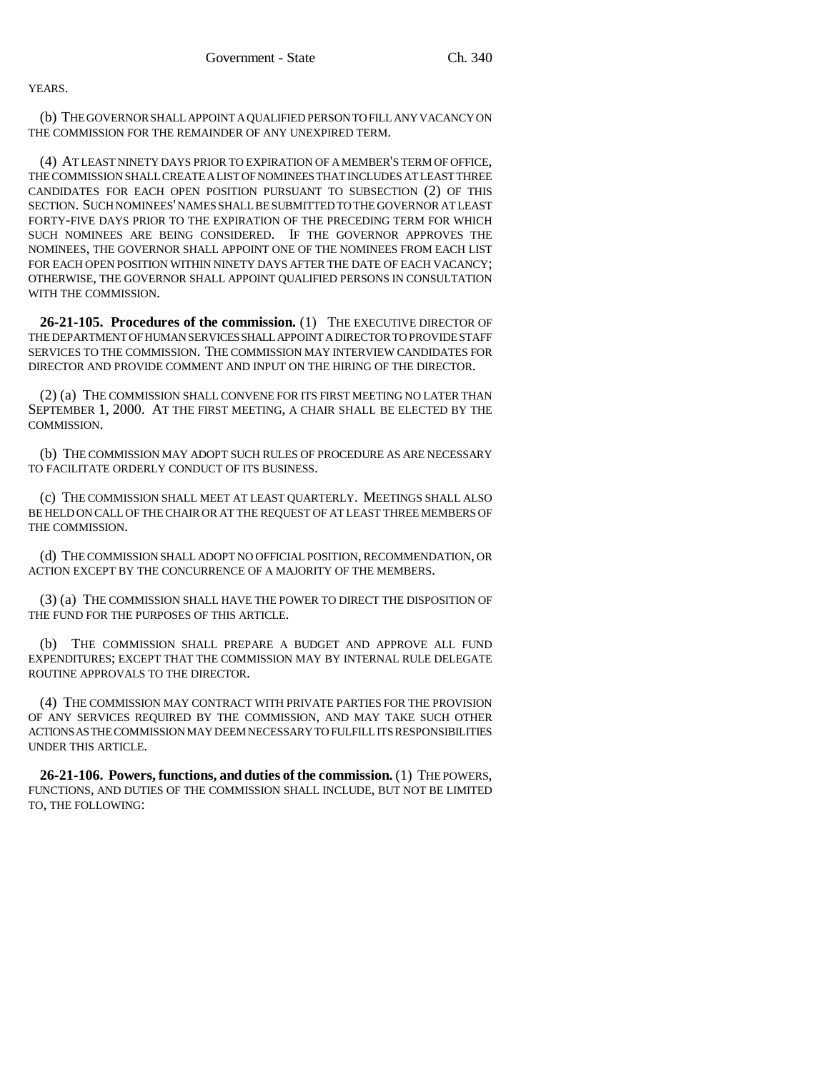YEARS.

(b) THE GOVERNOR SHALL APPOINT A QUALIFIED PERSON TO FILL ANY VACANCY ON THE COMMISSION FOR THE REMAINDER OF ANY UNEXPIRED TERM.

(4) AT LEAST NINETY DAYS PRIOR TO EXPIRATION OF A MEMBER'S TERM OF OFFICE, THE COMMISSION SHALL CREATE A LIST OF NOMINEES THAT INCLUDES AT LEAST THREE CANDIDATES FOR EACH OPEN POSITION PURSUANT TO SUBSECTION (2) OF THIS SECTION. SUCH NOMINEES' NAMES SHALL BE SUBMITTED TO THE GOVERNOR AT LEAST FORTY-FIVE DAYS PRIOR TO THE EXPIRATION OF THE PRECEDING TERM FOR WHICH SUCH NOMINEES ARE BEING CONSIDERED. IF THE GOVERNOR APPROVES THE NOMINEES, THE GOVERNOR SHALL APPOINT ONE OF THE NOMINEES FROM EACH LIST FOR EACH OPEN POSITION WITHIN NINETY DAYS AFTER THE DATE OF EACH VACANCY; OTHERWISE, THE GOVERNOR SHALL APPOINT QUALIFIED PERSONS IN CONSULTATION WITH THE COMMISSION.

**26-21-105. Procedures of the commission.** (1) THE EXECUTIVE DIRECTOR OF THE DEPARTMENT OF HUMAN SERVICES SHALL APPOINT A DIRECTOR TO PROVIDE STAFF SERVICES TO THE COMMISSION. THE COMMISSION MAY INTERVIEW CANDIDATES FOR DIRECTOR AND PROVIDE COMMENT AND INPUT ON THE HIRING OF THE DIRECTOR.

(2) (a) THE COMMISSION SHALL CONVENE FOR ITS FIRST MEETING NO LATER THAN SEPTEMBER 1, 2000. AT THE FIRST MEETING, A CHAIR SHALL BE ELECTED BY THE COMMISSION.

(b) THE COMMISSION MAY ADOPT SUCH RULES OF PROCEDURE AS ARE NECESSARY TO FACILITATE ORDERLY CONDUCT OF ITS BUSINESS.

(c) THE COMMISSION SHALL MEET AT LEAST QUARTERLY. MEETINGS SHALL ALSO BE HELD ON CALL OF THE CHAIR OR AT THE REQUEST OF AT LEAST THREE MEMBERS OF THE COMMISSION.

(d) THE COMMISSION SHALL ADOPT NO OFFICIAL POSITION, RECOMMENDATION, OR ACTION EXCEPT BY THE CONCURRENCE OF A MAJORITY OF THE MEMBERS.

(3) (a) THE COMMISSION SHALL HAVE THE POWER TO DIRECT THE DISPOSITION OF THE FUND FOR THE PURPOSES OF THIS ARTICLE.

(b) THE COMMISSION SHALL PREPARE A BUDGET AND APPROVE ALL FUND EXPENDITURES; EXCEPT THAT THE COMMISSION MAY BY INTERNAL RULE DELEGATE ROUTINE APPROVALS TO THE DIRECTOR.

(4) THE COMMISSION MAY CONTRACT WITH PRIVATE PARTIES FOR THE PROVISION OF ANY SERVICES REQUIRED BY THE COMMISSION, AND MAY TAKE SUCH OTHER ACTIONS AS THE COMMISSION MAY DEEM NECESSARY TO FULFILL ITS RESPONSIBILITIES UNDER THIS ARTICLE.

**26-21-106. Powers, functions, and duties of the commission.** (1) THE POWERS, FUNCTIONS, AND DUTIES OF THE COMMISSION SHALL INCLUDE, BUT NOT BE LIMITED TO, THE FOLLOWING: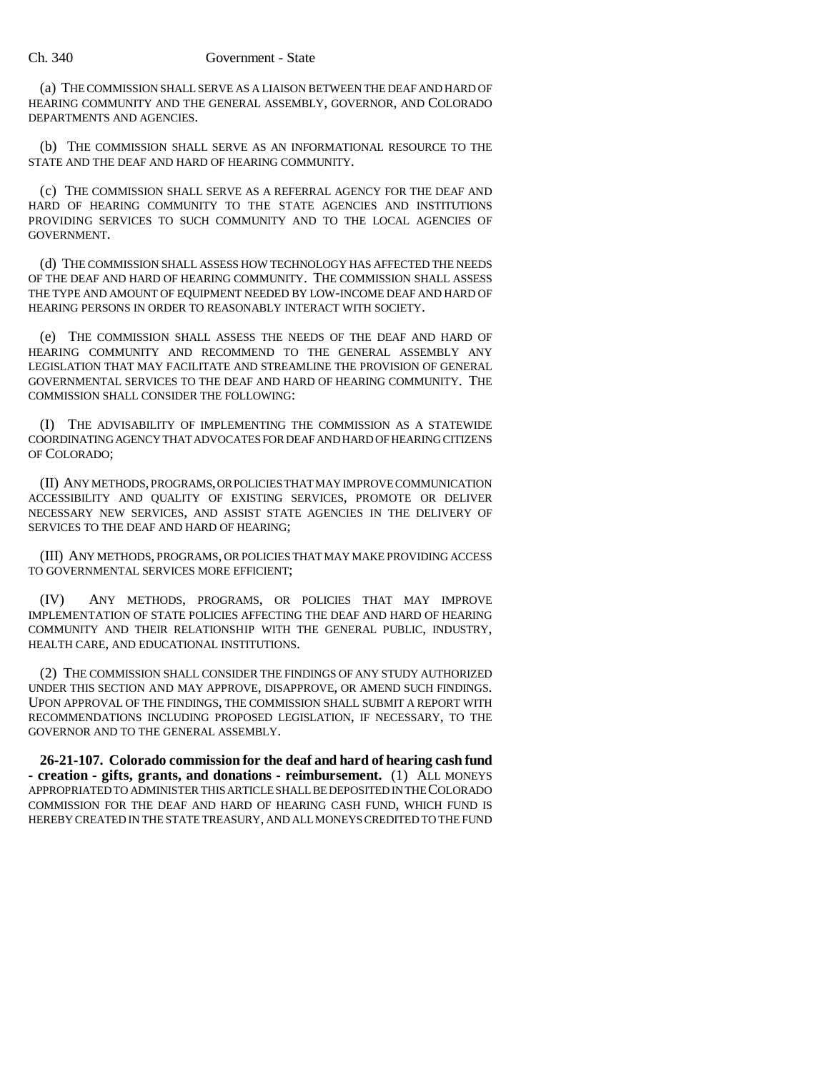(a) THE COMMISSION SHALL SERVE AS A LIAISON BETWEEN THE DEAF AND HARD OF HEARING COMMUNITY AND THE GENERAL ASSEMBLY, GOVERNOR, AND COLORADO DEPARTMENTS AND AGENCIES.

(b) THE COMMISSION SHALL SERVE AS AN INFORMATIONAL RESOURCE TO THE STATE AND THE DEAF AND HARD OF HEARING COMMUNITY.

(c) THE COMMISSION SHALL SERVE AS A REFERRAL AGENCY FOR THE DEAF AND HARD OF HEARING COMMUNITY TO THE STATE AGENCIES AND INSTITUTIONS PROVIDING SERVICES TO SUCH COMMUNITY AND TO THE LOCAL AGENCIES OF GOVERNMENT.

(d) THE COMMISSION SHALL ASSESS HOW TECHNOLOGY HAS AFFECTED THE NEEDS OF THE DEAF AND HARD OF HEARING COMMUNITY. THE COMMISSION SHALL ASSESS THE TYPE AND AMOUNT OF EQUIPMENT NEEDED BY LOW-INCOME DEAF AND HARD OF HEARING PERSONS IN ORDER TO REASONABLY INTERACT WITH SOCIETY.

(e) THE COMMISSION SHALL ASSESS THE NEEDS OF THE DEAF AND HARD OF HEARING COMMUNITY AND RECOMMEND TO THE GENERAL ASSEMBLY ANY LEGISLATION THAT MAY FACILITATE AND STREAMLINE THE PROVISION OF GENERAL GOVERNMENTAL SERVICES TO THE DEAF AND HARD OF HEARING COMMUNITY. THE COMMISSION SHALL CONSIDER THE FOLLOWING:

(I) THE ADVISABILITY OF IMPLEMENTING THE COMMISSION AS A STATEWIDE COORDINATING AGENCY THAT ADVOCATES FOR DEAF AND HARD OF HEARING CITIZENS OF COLORADO;

(II) ANY METHODS, PROGRAMS, OR POLICIES THAT MAY IMPROVE COMMUNICATION ACCESSIBILITY AND QUALITY OF EXISTING SERVICES, PROMOTE OR DELIVER NECESSARY NEW SERVICES, AND ASSIST STATE AGENCIES IN THE DELIVERY OF SERVICES TO THE DEAF AND HARD OF HEARING;

(III) ANY METHODS, PROGRAMS, OR POLICIES THAT MAY MAKE PROVIDING ACCESS TO GOVERNMENTAL SERVICES MORE EFFICIENT;

(IV) ANY METHODS, PROGRAMS, OR POLICIES THAT MAY IMPROVE IMPLEMENTATION OF STATE POLICIES AFFECTING THE DEAF AND HARD OF HEARING COMMUNITY AND THEIR RELATIONSHIP WITH THE GENERAL PUBLIC, INDUSTRY, HEALTH CARE, AND EDUCATIONAL INSTITUTIONS.

(2) THE COMMISSION SHALL CONSIDER THE FINDINGS OF ANY STUDY AUTHORIZED UNDER THIS SECTION AND MAY APPROVE, DISAPPROVE, OR AMEND SUCH FINDINGS. UPON APPROVAL OF THE FINDINGS, THE COMMISSION SHALL SUBMIT A REPORT WITH RECOMMENDATIONS INCLUDING PROPOSED LEGISLATION, IF NECESSARY, TO THE GOVERNOR AND TO THE GENERAL ASSEMBLY.

**26-21-107. Colorado commission for the deaf and hard of hearing cash fund - creation - gifts, grants, and donations - reimbursement.** (1) ALL MONEYS APPROPRIATED TO ADMINISTER THIS ARTICLE SHALL BE DEPOSITED IN THE COLORADO COMMISSION FOR THE DEAF AND HARD OF HEARING CASH FUND, WHICH FUND IS HEREBY CREATED IN THE STATE TREASURY, AND ALL MONEYS CREDITED TO THE FUND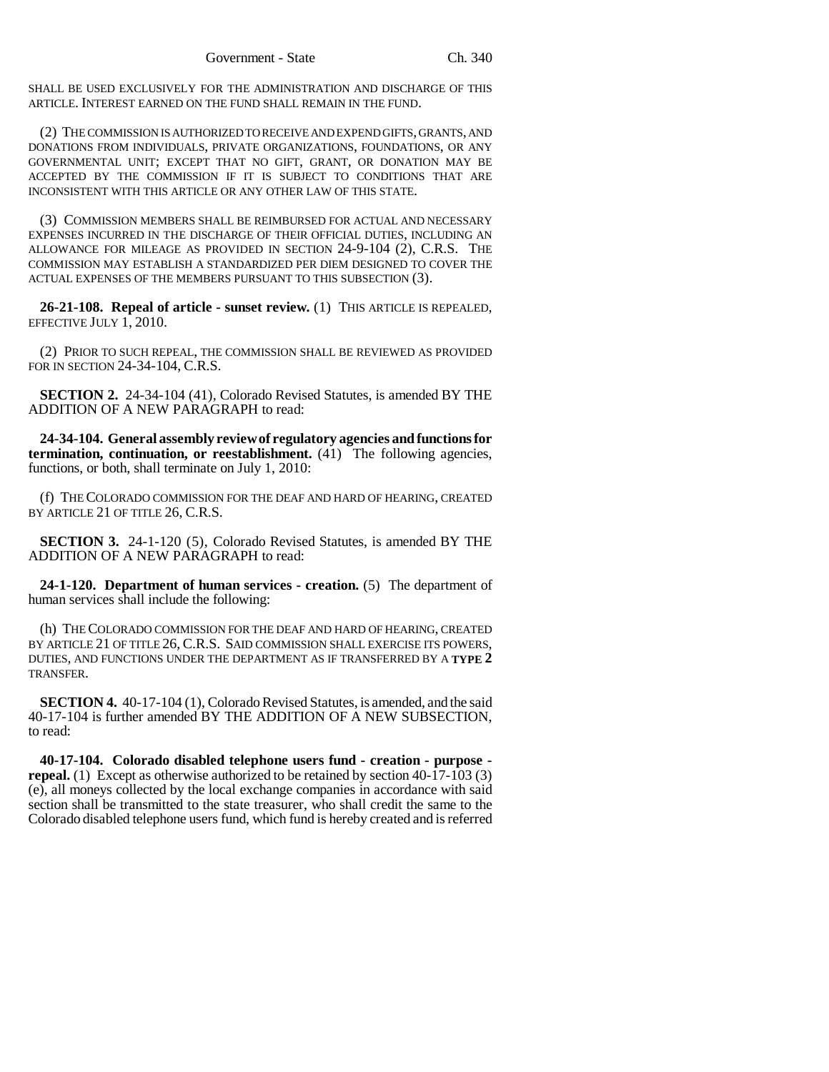SHALL BE USED EXCLUSIVELY FOR THE ADMINISTRATION AND DISCHARGE OF THIS ARTICLE. INTEREST EARNED ON THE FUND SHALL REMAIN IN THE FUND.

(2) THE COMMISSION IS AUTHORIZED TO RECEIVE AND EXPEND GIFTS, GRANTS, AND DONATIONS FROM INDIVIDUALS, PRIVATE ORGANIZATIONS, FOUNDATIONS, OR ANY GOVERNMENTAL UNIT; EXCEPT THAT NO GIFT, GRANT, OR DONATION MAY BE ACCEPTED BY THE COMMISSION IF IT IS SUBJECT TO CONDITIONS THAT ARE INCONSISTENT WITH THIS ARTICLE OR ANY OTHER LAW OF THIS STATE.

(3) COMMISSION MEMBERS SHALL BE REIMBURSED FOR ACTUAL AND NECESSARY EXPENSES INCURRED IN THE DISCHARGE OF THEIR OFFICIAL DUTIES, INCLUDING AN ALLOWANCE FOR MILEAGE AS PROVIDED IN SECTION 24-9-104 (2), C.R.S. THE COMMISSION MAY ESTABLISH A STANDARDIZED PER DIEM DESIGNED TO COVER THE ACTUAL EXPENSES OF THE MEMBERS PURSUANT TO THIS SUBSECTION (3).

**26-21-108. Repeal of article - sunset review.** (1) THIS ARTICLE IS REPEALED, EFFECTIVE JULY 1, 2010.

(2) PRIOR TO SUCH REPEAL, THE COMMISSION SHALL BE REVIEWED AS PROVIDED FOR IN SECTION 24-34-104, C.R.S.

**SECTION 2.** 24-34-104 (41), Colorado Revised Statutes, is amended BY THE ADDITION OF A NEW PARAGRAPH to read:

**24-34-104. General assembly review of regulatory agencies and functions for termination, continuation, or reestablishment.** (41) The following agencies, functions, or both, shall terminate on July 1, 2010:

(f) THE COLORADO COMMISSION FOR THE DEAF AND HARD OF HEARING, CREATED BY ARTICLE 21 OF TITLE 26, C.R.S.

**SECTION 3.** 24-1-120 (5), Colorado Revised Statutes, is amended BY THE ADDITION OF A NEW PARAGRAPH to read:

**24-1-120. Department of human services - creation.** (5) The department of human services shall include the following:

(h) THE COLORADO COMMISSION FOR THE DEAF AND HARD OF HEARING, CREATED BY ARTICLE 21 OF TITLE 26, C.R.S. SAID COMMISSION SHALL EXERCISE ITS POWERS, DUTIES, AND FUNCTIONS UNDER THE DEPARTMENT AS IF TRANSFERRED BY A **TYPE 2** TRANSFER.

**SECTION 4.** 40-17-104 (1), Colorado Revised Statutes, is amended, and the said 40-17-104 is further amended BY THE ADDITION OF A NEW SUBSECTION, to read:

**40-17-104. Colorado disabled telephone users fund - creation - purpose repeal.** (1) Except as otherwise authorized to be retained by section 40-17-103 (3) (e), all moneys collected by the local exchange companies in accordance with said section shall be transmitted to the state treasurer, who shall credit the same to the Colorado disabled telephone users fund, which fund is hereby created and is referred